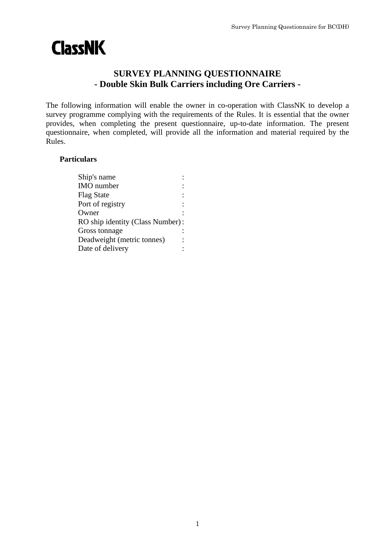# **ClassNK**

## **SURVEY PLANNING QUESTIONNAIRE - Double Skin Bulk Carriers including Ore Carriers -**

The following information will enable the owner in co-operation with ClassNK to develop a survey programme complying with the requirements of the Rules. It is essential that the owner provides, when completing the present questionnaire, up-to-date information. The present questionnaire, when completed, will provide all the information and material required by the Rules.

## **Particulars**

| Ship's name                      |  |
|----------------------------------|--|
| <b>IMO</b> number                |  |
| <b>Flag State</b>                |  |
| Port of registry                 |  |
| Owner                            |  |
| RO ship identity (Class Number): |  |
| Gross tonnage                    |  |
| Deadweight (metric tonnes)       |  |
| Date of delivery                 |  |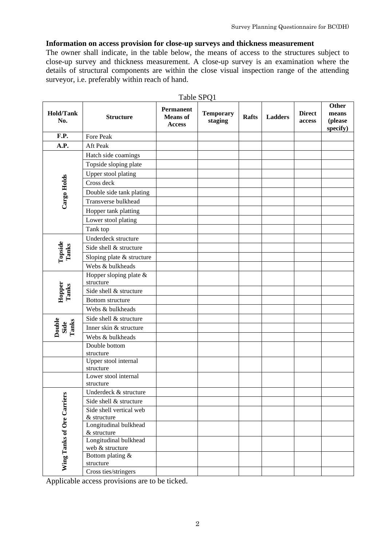#### **Information on access provision for close-up surveys and thickness measurement**

The owner shall indicate, in the table below, the means of access to the structures subject to close-up survey and thickness measurement. A close-up survey is an examination where the details of structural components are within the close visual inspection range of the attending surveyor, i.e. preferably within reach of hand.

| <b>Hold/Tank</b><br>No.    | <b>Structure</b>                       | <b>Permanent</b><br><b>Means</b> of<br><b>Access</b> | <b>Temporary</b><br>staging | <b>Rafts</b> | <b>Ladders</b> | <b>Direct</b><br>access | Other<br>means<br>(please<br>specify) |
|----------------------------|----------------------------------------|------------------------------------------------------|-----------------------------|--------------|----------------|-------------------------|---------------------------------------|
| F.P.                       | Fore Peak                              |                                                      |                             |              |                |                         |                                       |
| A.P.                       | Aft Peak                               |                                                      |                             |              |                |                         |                                       |
|                            | Hatch side coamings                    |                                                      |                             |              |                |                         |                                       |
|                            | Topside sloping plate                  |                                                      |                             |              |                |                         |                                       |
|                            | Upper stool plating                    |                                                      |                             |              |                |                         |                                       |
| Cargo Holds                | Cross deck                             |                                                      |                             |              |                |                         |                                       |
|                            | Double side tank plating               |                                                      |                             |              |                |                         |                                       |
|                            | Transverse bulkhead                    |                                                      |                             |              |                |                         |                                       |
|                            | Hopper tank platting                   |                                                      |                             |              |                |                         |                                       |
|                            | Lower stool plating                    |                                                      |                             |              |                |                         |                                       |
|                            | Tank top                               |                                                      |                             |              |                |                         |                                       |
|                            | Underdeck structure                    |                                                      |                             |              |                |                         |                                       |
|                            | Side shell & structure                 |                                                      |                             |              |                |                         |                                       |
| Topside<br>Tanks           | Sloping plate & structure              |                                                      |                             |              |                |                         |                                       |
|                            | Webs & bulkheads                       |                                                      |                             |              |                |                         |                                       |
| Hopper<br>Tanks            | Hopper sloping plate &<br>structure    |                                                      |                             |              |                |                         |                                       |
|                            | Side shell & structure                 |                                                      |                             |              |                |                         |                                       |
|                            | Bottom structure                       |                                                      |                             |              |                |                         |                                       |
|                            | Webs & bulkheads                       |                                                      |                             |              |                |                         |                                       |
|                            | Side shell & structure                 |                                                      |                             |              |                |                         |                                       |
| Double<br>Side<br>Tanks    | Inner skin & structure                 |                                                      |                             |              |                |                         |                                       |
|                            | Webs & bulkheads                       |                                                      |                             |              |                |                         |                                       |
|                            | Double bottom                          |                                                      |                             |              |                |                         |                                       |
|                            | structure                              |                                                      |                             |              |                |                         |                                       |
|                            | Upper stool internal<br>structure      |                                                      |                             |              |                |                         |                                       |
|                            | Lower stool internal                   |                                                      |                             |              |                |                         |                                       |
|                            | structure                              |                                                      |                             |              |                |                         |                                       |
| Wing Tanks of Ore Carriers | Underdeck & structure                  |                                                      |                             |              |                |                         |                                       |
|                            | Side shell & structure                 |                                                      |                             |              |                |                         |                                       |
|                            | Side shell vertical web                |                                                      |                             |              |                |                         |                                       |
|                            | & structure                            |                                                      |                             |              |                |                         |                                       |
|                            | Longitudinal bulkhead<br>$&$ structure |                                                      |                             |              |                |                         |                                       |
|                            | Longitudinal bulkhead                  |                                                      |                             |              |                |                         |                                       |
|                            | web & structure                        |                                                      |                             |              |                |                         |                                       |
|                            | Bottom plating &                       |                                                      |                             |              |                |                         |                                       |
|                            | structure                              |                                                      |                             |              |                |                         |                                       |
|                            | Cross ties/stringers                   |                                                      |                             |              |                |                         |                                       |

Table SPQ1

Applicable access provisions are to be ticked.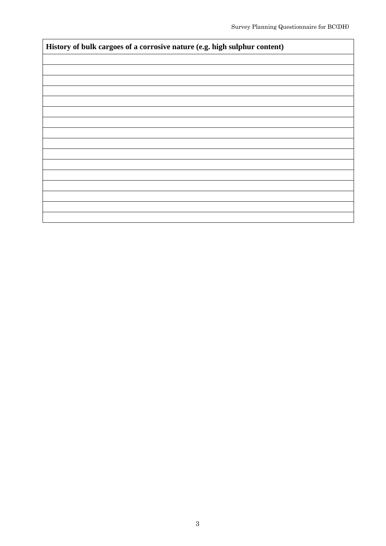| History of bulk cargoes of a corrosive nature (e.g. high sulphur content) |  |  |  |  |  |
|---------------------------------------------------------------------------|--|--|--|--|--|
|                                                                           |  |  |  |  |  |
|                                                                           |  |  |  |  |  |
|                                                                           |  |  |  |  |  |
|                                                                           |  |  |  |  |  |
|                                                                           |  |  |  |  |  |
|                                                                           |  |  |  |  |  |
|                                                                           |  |  |  |  |  |
|                                                                           |  |  |  |  |  |
|                                                                           |  |  |  |  |  |
|                                                                           |  |  |  |  |  |
|                                                                           |  |  |  |  |  |
|                                                                           |  |  |  |  |  |
|                                                                           |  |  |  |  |  |
|                                                                           |  |  |  |  |  |
|                                                                           |  |  |  |  |  |
|                                                                           |  |  |  |  |  |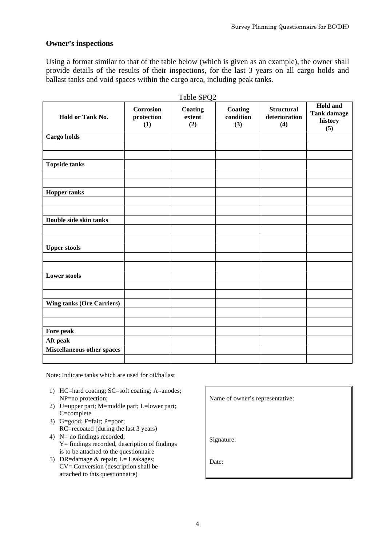#### **Owner's inspections**

Using a format similar to that of the table below (which is given as an example), the owner shall provide details of the results of their inspections, for the last 3 years on all cargo holds and ballast tanks and void spaces within the cargo area, including peak tanks.

|                                  |                                       | Table SPQ2               |                             |                                           | <b>Hold and</b>                      |
|----------------------------------|---------------------------------------|--------------------------|-----------------------------|-------------------------------------------|--------------------------------------|
| Hold or Tank No.                 | <b>Corrosion</b><br>protection<br>(1) | Coating<br>extent<br>(2) | Coating<br>condition<br>(3) | <b>Structural</b><br>deterioration<br>(4) | <b>Tank damage</b><br>history<br>(5) |
| Cargo holds                      |                                       |                          |                             |                                           |                                      |
|                                  |                                       |                          |                             |                                           |                                      |
|                                  |                                       |                          |                             |                                           |                                      |
| <b>Topside tanks</b>             |                                       |                          |                             |                                           |                                      |
|                                  |                                       |                          |                             |                                           |                                      |
|                                  |                                       |                          |                             |                                           |                                      |
| <b>Hopper tanks</b>              |                                       |                          |                             |                                           |                                      |
|                                  |                                       |                          |                             |                                           |                                      |
|                                  |                                       |                          |                             |                                           |                                      |
| Double side skin tanks           |                                       |                          |                             |                                           |                                      |
|                                  |                                       |                          |                             |                                           |                                      |
|                                  |                                       |                          |                             |                                           |                                      |
| <b>Upper stools</b>              |                                       |                          |                             |                                           |                                      |
|                                  |                                       |                          |                             |                                           |                                      |
|                                  |                                       |                          |                             |                                           |                                      |
| <b>Lower stools</b>              |                                       |                          |                             |                                           |                                      |
|                                  |                                       |                          |                             |                                           |                                      |
|                                  |                                       |                          |                             |                                           |                                      |
| <b>Wing tanks (Ore Carriers)</b> |                                       |                          |                             |                                           |                                      |
|                                  |                                       |                          |                             |                                           |                                      |
|                                  |                                       |                          |                             |                                           |                                      |
| Fore peak                        |                                       |                          |                             |                                           |                                      |
| Aft peak                         |                                       |                          |                             |                                           |                                      |
| Miscellaneous other spaces       |                                       |                          |                             |                                           |                                      |
|                                  |                                       |                          |                             |                                           |                                      |

Note: Indicate tanks which are used for oil/ballast

- 1) HC=hard coating; SC=soft coating; A=anodes; NP=no protection; Name of owner's representative:
- 2) U=upper part; M=middle part; L=lower part; C=complete
- 3) G=good; F=fair; P=poor; RC=recoated (during the last 3 years)
- 4) N= no findings recorded; Y= findings recorded, description of findings is to be attached to the questionnaire
- 5) DR=damage  $&$  repair; L= Leakages; CV= Conversion (description shall be attached to this questionnaire)

Signature:

Date: